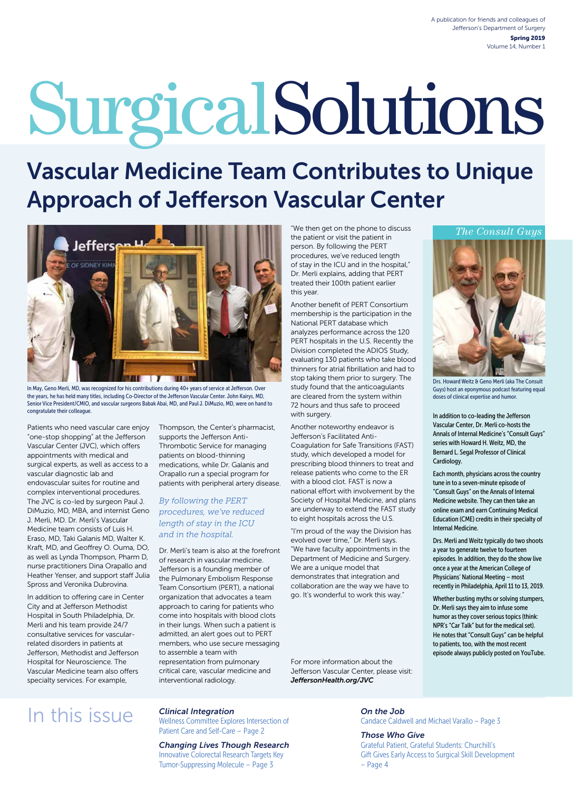# SurgicalSolutions

## Vascular Medicine Team Contributes to Unique Approach of Jefferson Vascular Center



In May, Geno Merli, MD, was recognized for his contributions during 40+ years of service at Jefferson. Over the years, he has held many titles, including Co-Director of the Jefferson Vascular Center. John Kairys, MD, Senior Vice President/CMIO, and vascular surgeons Babak Abai, MD, and Paul J. DiMuzio, MD, were on hand to congratulate their colleague.

Patients who need vascular care enjoy "one-stop shopping" at the Jefferson Vascular Center (JVC), which offers appointments with medical and surgical experts, as well as access to a vascular diagnostic lab and endovascular suites for routine and complex interventional procedures. The JVC is co-led by surgeon Paul J. DiMuzio, MD, MBA, and internist Geno J. Merli, MD. Dr. Merli's Vascular Medicine team consists of Luis H. Eraso, MD, Taki Galanis MD, Walter K. Kraft, MD, and Geoffrey O. Ouma, DO, as well as Lynda Thompson, Pharm D, nurse practitioners Dina Orapallo and Heather Yenser, and support staff Julia Spross and Veronika Dubrovina.

In addition to offering care in Center City and at Jefferson Methodist Hospital in South Philadelphia, Dr. Merli and his team provide 24/7 consultative services for vascularrelated disorders in patients at Jefferson, Methodist and Jefferson Hospital for Neuroscience. The Vascular Medicine team also offers specialty services. For example,

Thompson, the Center's pharmacist, supports the Jefferson Anti-Thrombotic Service for managing patients on blood-thinning medications, while Dr. Galanis and Orapallo run a special program for patients with peripheral artery disease.

#### *By following the PERT procedures, we've reduced length of stay in the ICU and in the hospital.*

Dr. Merli's team is also at the forefront of research in vascular medicine. Jefferson is a founding member of the Pulmonary Embolism Response Team Consortium (PERT), a national organization that advocates a team approach to caring for patients who come into hospitals with blood clots in their lungs. When such a patient is admitted, an alert goes out to PERT members, who use secure messaging to assemble a team with representation from pulmonary critical care, vascular medicine and interventional radiology.

"We then get on the phone to discuss the patient or visit the patient in person. By following the PERT procedures, we've reduced length of stay in the ICU and in the hospital," Dr. Merli explains, adding that PERT treated their 100th patient earlier this year.

Another benefit of PERT Consortium membership is the participation in the National PERT database which analyzes performance across the 120 PERT hospitals in the U.S. Recently the Division completed the ADIOS Study, evaluating 130 patients who take blood thinners for atrial fibrillation and had to stop taking them prior to surgery. The study found that the anticoagulants are cleared from the system within 72 hours and thus safe to proceed with surgery.

Another noteworthy endeavor is Jefferson's Facilitated Anti-Coagulation for Safe Transitions (FAST) study, which developed a model for prescribing blood thinners to treat and release patients who come to the ER with a blood clot. FAST is now a national effort with involvement by the Society of Hospital Medicine, and plans are underway to extend the FAST study to eight hospitals across the U.S.

"I'm proud of the way the Division has evolved over time," Dr. Merli says. "We have faculty appointments in the Department of Medicine and Surgery. We are a unique model that demonstrates that integration and collaboration are the way we have to go. It's wonderful to work this way."

For more information about the Jefferson Vascular Center, please visit: *[JeffersonHealth.org/JVC](http://JeffersonHealth.org/JVC)*

#### *The Consult Guys*



Drs. Howard Weitz & Geno Merli (aka The Consult Guys) host an eponymous podcast featuring equal doses of clinical expertise and humor.

In addition to co-leading the Jefferson Vascular Center, Dr. Merli co-hosts the Annals of Internal Medicine's "Consult Guys" series with Howard H. Weitz, MD, the Bernard L. Segal Professor of Clinical Cardiology.

Each month, physicians across the country tune in to a seven-minute episode of "Consult Guys" on the Annals of Internal Medicine website. They can then take an online exam and earn Continuing Medical Education (CME) credits in their specialty of Internal Medicine.

Drs. Merli and Weitz typically do two shoots a year to generate twelve to fourteen episodes. In addition, they do the show live once a year at the American College of Physicians' National Meeting – most recently in Philadelphia, April 11 to 13, 2019.

Whether busting myths or solving stumpers, Dr. Merli says they aim to infuse some humor as they cover serious topics (think: NPR's "Car Talk" but for the medical set). He notes that "Consult Guys" can be helpful to patients, too, with the most recent episode always publicly posted on YouTube.

## In this issue

*Clinical Integration*

Wellness Committee Explores Intersection of Patient Care and Self-Care – Page 2

*Changing Lives Though Research* Innovative Colorectal Research Targets Key Tumor-Suppressing Molecule – Page 3

*On the Job* Candace Caldwell and Michael Varallo – Page 3

#### *Those Who Give*

Grateful Patient, Grateful Students: Churchill's Gift Gives Early Access to Surgical Skill Development – Page 4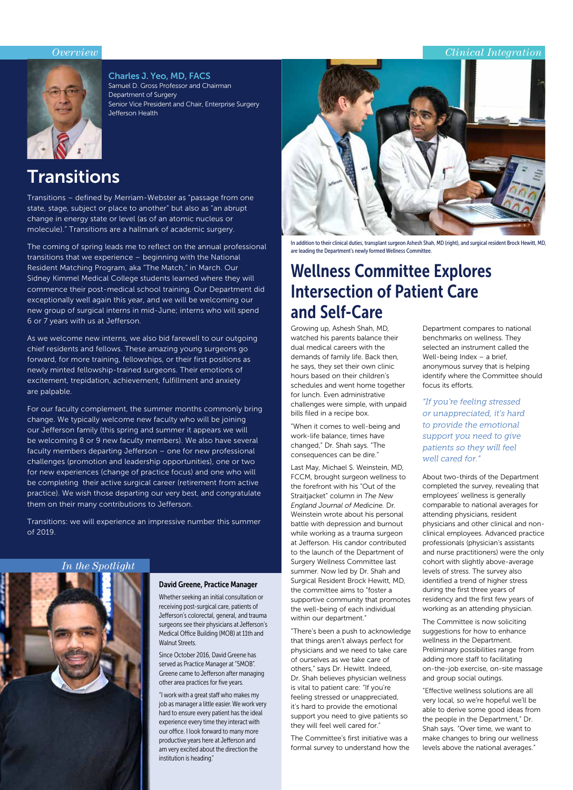#### *Overview Clinical Integration*



Charles J. Yeo, MD, FACS Samuel D. Gross Professor and Chairman Department of Surgery Senior Vice President and Chair, Enterprise Surgery Jefferson Health

## **Transitions**

Transitions – defined by Merriam-Webster as "passage from one state, stage, subject or place to another" but also as "an abrupt change in energy state or level (as of an atomic nucleus or molecule)." Transitions are a hallmark of academic surgery.

The coming of spring leads me to reflect on the annual professional transitions that we experience – beginning with the National Resident Matching Program, aka "The Match," in March. Our Sidney Kimmel Medical College students learned where they will commence their post-medical school training. Our Department did exceptionally well again this year, and we will be welcoming our new group of surgical interns in mid-June; interns who will spend 6 or 7 years with us at Jefferson.

As we welcome new interns, we also bid farewell to our outgoing chief residents and fellows. These amazing young surgeons go forward, for more training, fellowships, or their first positions as newly minted fellowship-trained surgeons. Their emotions of excitement, trepidation, achievement, fulfillment and anxiety are palpable.

For our faculty complement, the summer months commonly bring change. We typically welcome new faculty who will be joining our Jefferson family (this spring and summer it appears we will be welcoming 8 or 9 new faculty members). We also have several faculty members departing Jefferson – one for new professional challenges (promotion and leadership opportunities), one or two for new experiences (change of practice focus) and one who will be completing their active surgical career (retirement from active practice). We wish those departing our very best, and congratulate them on their many contributions to Jefferson.

Transitions: we will experience an impressive number this summer of 2019.





#### David Greene, Practice Manager

Whether seeking an initial consultation or receiving post-surgical care, patients of Jefferson's colorectal, general, and trauma surgeons see their physicians at Jefferson's Medical Office Building (MOB) at 11th and Walnut Streets.

Since October 2016, David Greene has served as Practice Manager at "5MOB". Greene came to Jefferson after managing other area practices for five years.

"I work with a great staff who makes my job as manager a little easier. We work very hard to ensure every patient has the ideal experience every time they interact with our office. I look forward to many more productive years here at Jefferson and am very excited about the direction the institution is heading."



In addition to their clinical duties, transplant surgeon Ashesh Shah, MD (right), and surgical resident Brock Hewitt, MD, are leading the Department's newly formed Wellness Committee.

## Wellness Committee Explores Intersection of Patient Care and Self-Care

Growing up, Ashesh Shah, MD, watched his parents balance their dual medical careers with the demands of family life. Back then, he says, they set their own clinic hours based on their children's schedules and went home together for lunch. Even administrative challenges were simple, with unpaid bills filed in a recipe box.

"When it comes to well-being and work-life balance, times have changed," Dr. Shah says. "The consequences can be dire."

Last May, Michael S. Weinstein, MD, FCCM, brought surgeon wellness to the forefront with his "Out of the Straitjacket" column in *The New England Journal of Medicine.* Dr. Weinstein wrote about his personal battle with depression and burnout while working as a trauma surgeon at Jefferson. His candor contributed to the launch of the Department of Surgery Wellness Committee last summer. Now led by Dr. Shah and Surgical Resident Brock Hewitt, MD, the committee aims to "foster a supportive community that promotes the well-being of each individual within our department."

"There's been a push to acknowledge that things aren't always perfect for physicians and we need to take care of ourselves as we take care of others," says Dr. Hewitt. Indeed, Dr. Shah believes physician wellness is vital to patient care: "If you're feeling stressed or unappreciated, it's hard to provide the emotional support you need to give patients so they will feel well cared for."

The Committee's first initiative was a formal survey to understand how the

Department compares to national benchmarks on wellness. They selected an instrument called the Well-being Index – a brief, anonymous survey that is helping identify where the Committee should focus its efforts.

*"If you're feeling stressed or unappreciated, it's hard to provide the emotional support you need to give patients so they will feel well cared for."*

About two-thirds of the Department completed the survey, revealing that employees' wellness is generally comparable to national averages for attending physicians, resident physicians and other clinical and nonclinical employees. Advanced practice professionals (physician's assistants and nurse practitioners) were the only cohort with slightly above-average levels of stress. The survey also identified a trend of higher stress during the first three years of residency and the first few years of working as an attending physician.

The Committee is now soliciting suggestions for how to enhance wellness in the Department. Preliminary possibilities range from adding more staff to facilitating on-the-job exercise, on-site massage and group social outings.

"Effective wellness solutions are all very local, so we're hopeful we'll be able to derive some good ideas from the people in the Department," Dr. Shah says. "Over time, we want to make changes to bring our wellness levels above the national averages."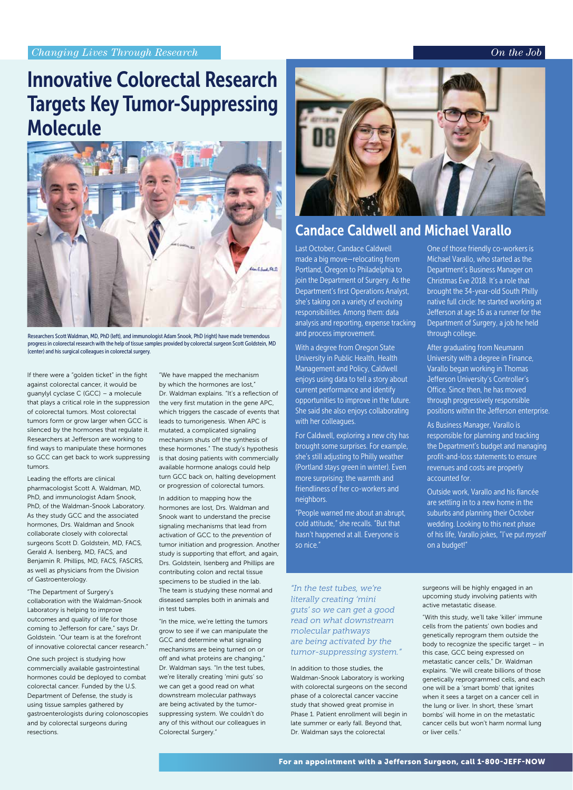#### *On the Job*

## Innovative Colorectal Research Targets Key Tumor-Suppressing Molecule



Researchers Scott Waldman, MD, PhD (left), and immunologist Adam Snook, PhD (right) have made tremendous progress in colorectal research with the help of tissue samples provided by colorectal surgeon Scott Goldstein, MD (center) and his surgical colleagues in colorectal surgery.

If there were a "golden ticket" in the fight against colorectal cancer, it would be guanylyl cyclase C (GCC) – a molecule that plays a critical role in the suppression of colorectal tumors. Most colorectal tumors form or grow larger when GCC is silenced by the hormones that regulate it. Researchers at Jefferson are working to find ways to manipulate these hormones so GCC can get back to work suppressing tumors.

Leading the efforts are clinical pharmacologist Scott A. Waldman, MD, PhD, and immunologist Adam Snook, PhD, of the Waldman-Snook Laboratory. As they study GCC and the associated hormones, Drs. Waldman and Snook collaborate closely with colorectal surgeons Scott D. Goldstein, MD, FACS, Gerald A. Isenberg, MD, FACS, and Benjamin R. Phillips, MD, FACS, FASCRS, as well as physicians from the Division of Gastroenterology.

"The Department of Surgery's collaboration with the Waldman-Snook Laboratory is helping to improve outcomes and quality of life for those coming to Jefferson for care," says Dr. Goldstein. "Our team is at the forefront of innovative colorectal cancer research."

One such project is studying how commercially available gastrointestinal hormones could be deployed to combat colorectal cancer. Funded by the U.S. Department of Defense, the study is using tissue samples gathered by gastroenterologists during colonoscopies and by colorectal surgeons during resections.

"We have mapped the mechanism by which the hormones are lost," Dr. Waldman explains. "It's a reflection of the very first mutation in the gene APC, which triggers the cascade of events that leads to tumorigenesis. When APC is mutated, a complicated signaling mechanism shuts off the synthesis of these hormones." The study's hypothesis is that dosing patients with commercially available hormone analogs could help turn GCC back on, halting development or progression of colorectal tumors.

In addition to mapping how the hormones are lost, Drs. Waldman and Snook want to understand the precise signaling mechanisms that lead from activation of GCC to the *prevention* of tumor initiation and progression. Another study is supporting that effort, and again, Drs. Goldstein, Isenberg and Phillips are contributing colon and rectal tissue specimens to be studied in the lab. The team is studying these normal and diseased samples both in animals and in test tubes.

"In the mice, we're letting the tumors grow to see if we can manipulate the GCC and determine what signaling mechanisms are being turned on or off and what proteins are changing," Dr. Waldman says. "In the test tubes, we're literally creating 'mini guts' so we can get a good read on what downstream molecular pathways are being activated by the tumorsuppressing system. We couldn't do any of this without our colleagues in Colorectal Surgery."



### Candace Caldwell and Michael Varallo

Last October, Candace Caldwell made a big move—relocating from Portland, Oregon to Philadelphia to join the Department of Surgery. As the Department's first Operations Analyst, she's taking on a variety of evolving responsibilities. Among them: data analysis and reporting, expense tracking and process improvement.

With a degree from Oregon State University in Public Health, Health Management and Policy, Caldwell enjoys using data to tell a story about current performance and identify opportunities to improve in the future. She said she also enjoys collaborating with her colleagues.

For Caldwell, exploring a new city has brought some surprises. For example, she's still adjusting to Philly weather (Portland stays green in winter). Even more surprising: the warmth and friendliness of her co-workers and neighbors.

"People warned me about an abrupt, cold attitude," she recalls. "But that hasn't happened at all. Everyone is so nice."

*"In the test tubes, we're literally creating 'mini guts' so we can get a good read on what downstream molecular pathways are being activated by the tumor-suppressing system."*

In addition to those studies, the Waldman-Snook Laboratory is working with colorectal surgeons on the second phase of a colorectal cancer vaccine study that showed great promise in Phase 1. Patient enrollment will begin in late summer or early fall. Beyond that, Dr. Waldman says the colorectal

One of those friendly co-workers is Michael Varallo, who started as the Department's Business Manager on Christmas Eve 2018. It's a role that brought the 34-year-old South Philly native full circle: he started working at Jefferson at age 16 as a runner for the Department of Surgery, a job he held through college.

After graduating from Neumann University with a degree in Finance, Varallo began working in Thomas Jefferson University's Controller's Office. Since then, he has moved through progressively responsible positions within the Jefferson enterprise.

As Business Manager, Varallo is responsible for planning and tracking the Department's budget and managing profit-and-loss statements to ensure revenues and costs are properly accounted for.

Outside work, Varallo and his fiancée are settling in to a new home in the suburbs and planning their October wedding. Looking to this next phase of his life, Varallo jokes, "I've put *myself* on a budget!"

surgeons will be highly engaged in an upcoming study involving patients with active metastatic disease.

"With this study, we'll take 'killer' immune cells from the patients' own bodies and genetically reprogram them outside the body to recognize the specific target – in this case, GCC being expressed on metastatic cancer cells," Dr. Waldman explains. "We will create billions of those genetically reprogrammed cells, and each one will be a 'smart bomb' that ignites when it sees a target on a cancer cell in the lung or liver. In short, these 'smart bombs' will home in on the metastatic cancer cells but won't harm normal lung or liver cells."